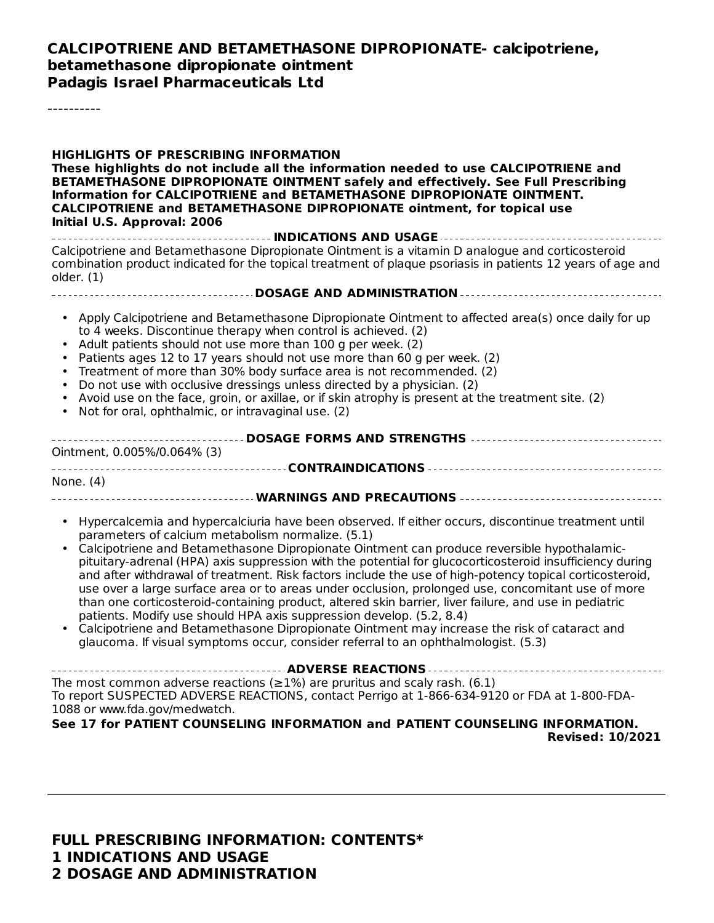#### **CALCIPOTRIENE AND BETAMETHASONE DIPROPIONATE- calcipotriene, betamethasone dipropionate ointment Padagis Israel Pharmaceuticals Ltd**

----------

**HIGHLIGHTS OF PRESCRIBING INFORMATION These highlights do not include all the information needed to use CALCIPOTRIENE and BETAMETHASONE DIPROPIONATE OINTMENT safely and effectively. See Full Prescribing Information for CALCIPOTRIENE and BETAMETHASONE DIPROPIONATE OINTMENT. CALCIPOTRIENE and BETAMETHASONE DIPROPIONATE ointment, for topical use Initial U.S. Approval: 2006 INDICATIONS AND USAGE** Calcipotriene and Betamethasone Dipropionate Ointment is a vitamin D analogue and corticosteroid combination product indicated for the topical treatment of plaque psoriasis in patients 12 years of age and older. (1) **DOSAGE AND ADMINISTRATION** • Apply Calcipotriene and Betamethasone Dipropionate Ointment to affected area(s) once daily for up • • Patients ages 12 to 17 years should not use more than 60 g per week. (2) • Treatment of more than 30% body surface area is not recommended. (2) • Do not use with occlusive dressings unless directed by a physician. (2) • Avoid use on the face, groin, or axillae, or if skin atrophy is present at the treatment site. (2) • Not for oral, ophthalmic, or intravaginal use. (2) **DOSAGE FORMS AND STRENGTHS** Ointment, 0.005%/0.064% (3) **CONTRAINDICATIONS** None. (4) **WARNINGS AND PRECAUTIONS** • Hypercalcemia and hypercalciuria have been observed. If either occurs, discontinue treatment until • Calcipotriene and Betamethasone Dipropionate Ointment can produce reversible hypothalamic-• Calcipotriene and Betamethasone Dipropionate Ointment may increase the risk of cataract and **ADVERSE REACTIONS** The most common adverse reactions ( $\geq$ 1%) are pruritus and scaly rash. (6.1) To report SUSPECTED ADVERSE REACTIONS, contact Perrigo at 1-866-634-9120 or FDA at 1-800-FDA-1088 or www.fda.gov/medwatch. **See 17 for PATIENT COUNSELING INFORMATION and PATIENT COUNSELING INFORMATION. Revised: 10/2021** to 4 weeks. Discontinue therapy when control is achieved. (2) Adult patients should not use more than 100 g per week. (2) parameters of calcium metabolism normalize. (5.1) pituitary-adrenal (HPA) axis suppression with the potential for glucocorticosteroid insufficiency during and after withdrawal of treatment. Risk factors include the use of high-potency topical corticosteroid, use over a large surface area or to areas under occlusion, prolonged use, concomitant use of more than one corticosteroid-containing product, altered skin barrier, liver failure, and use in pediatric patients. Modify use should HPA axis suppression develop. (5.2, 8.4) glaucoma. If visual symptoms occur, consider referral to an ophthalmologist. (5.3)

**FULL PRESCRIBING INFORMATION: CONTENTS\* 1 INDICATIONS AND USAGE 2 DOSAGE AND ADMINISTRATION**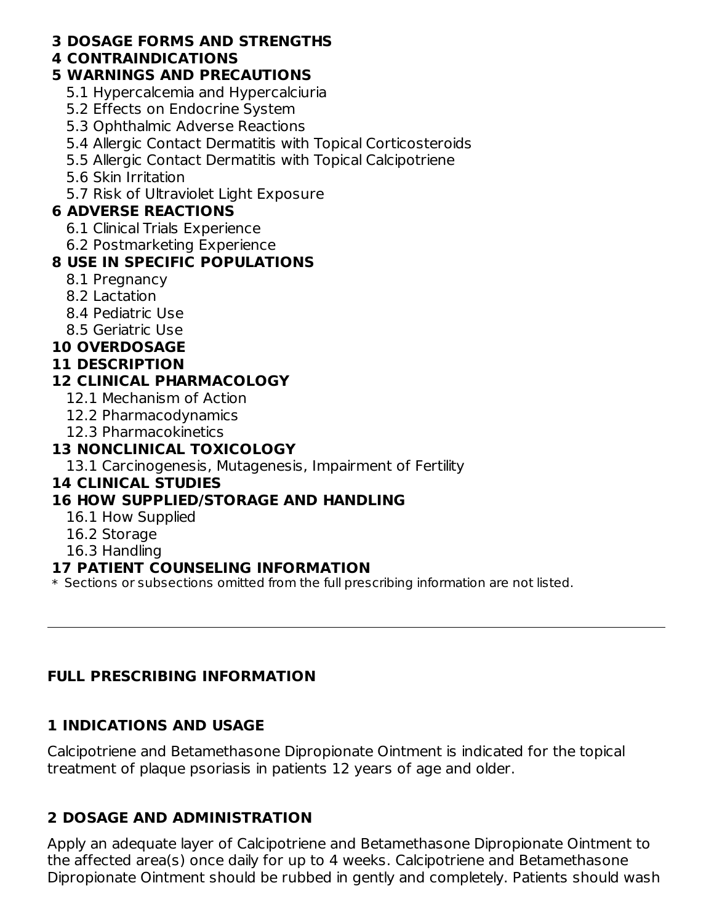#### **3 DOSAGE FORMS AND STRENGTHS**

#### **4 CONTRAINDICATIONS**

### **5 WARNINGS AND PRECAUTIONS**

- 5.1 Hypercalcemia and Hypercalciuria
- 5.2 Effects on Endocrine System
- 5.3 Ophthalmic Adverse Reactions
- 5.4 Allergic Contact Dermatitis with Topical Corticosteroids
- 5.5 Allergic Contact Dermatitis with Topical Calcipotriene
- 5.6 Skin Irritation
- 5.7 Risk of Ultraviolet Light Exposure

## **6 ADVERSE REACTIONS**

- 6.1 Clinical Trials Experience
- 6.2 Postmarketing Experience

## **8 USE IN SPECIFIC POPULATIONS**

- 8.1 Pregnancy
- 8.2 Lactation
- 8.4 Pediatric Use
- 8.5 Geriatric Use

## **10 OVERDOSAGE**

### **11 DESCRIPTION**

## **12 CLINICAL PHARMACOLOGY**

- 12.1 Mechanism of Action
- 12.2 Pharmacodynamics
- 12.3 Pharmacokinetics

## **13 NONCLINICAL TOXICOLOGY**

13.1 Carcinogenesis, Mutagenesis, Impairment of Fertility

### **14 CLINICAL STUDIES**

## **16 HOW SUPPLIED/STORAGE AND HANDLING**

- 16.1 How Supplied
- 16.2 Storage
- 16.3 Handling

### **17 PATIENT COUNSELING INFORMATION**

 $\ast$  Sections or subsections omitted from the full prescribing information are not listed.

## **FULL PRESCRIBING INFORMATION**

## **1 INDICATIONS AND USAGE**

Calcipotriene and Betamethasone Dipropionate Ointment is indicated for the topical treatment of plaque psoriasis in patients 12 years of age and older.

## **2 DOSAGE AND ADMINISTRATION**

Apply an adequate layer of Calcipotriene and Betamethasone Dipropionate Ointment to the affected area(s) once daily for up to 4 weeks. Calcipotriene and Betamethasone Dipropionate Ointment should be rubbed in gently and completely. Patients should wash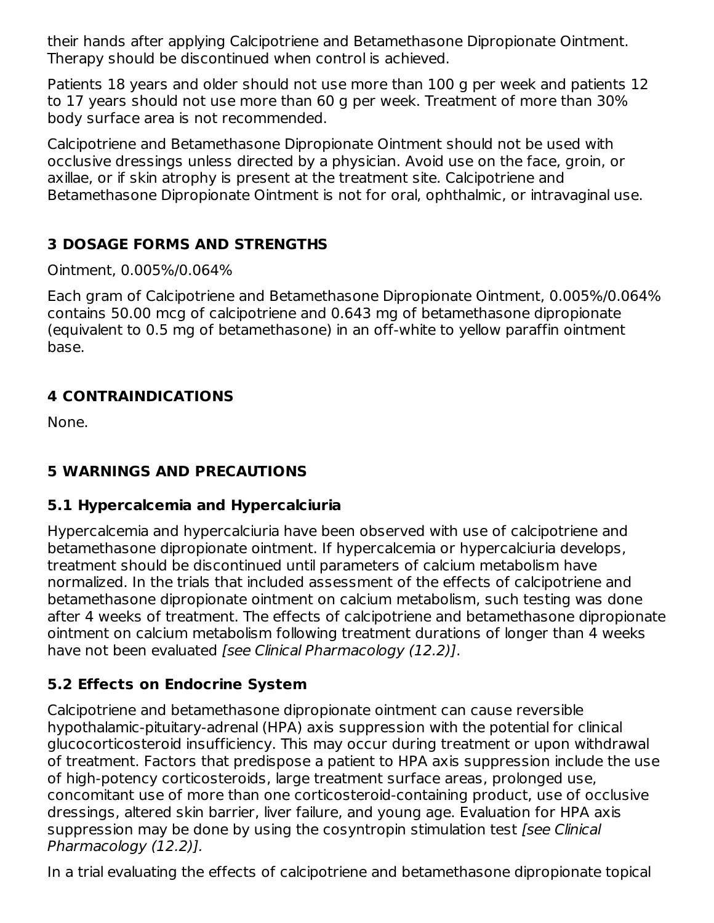their hands after applying Calcipotriene and Betamethasone Dipropionate Ointment. Therapy should be discontinued when control is achieved.

Patients 18 years and older should not use more than 100 g per week and patients 12 to 17 years should not use more than 60 g per week. Treatment of more than 30% body surface area is not recommended.

Calcipotriene and Betamethasone Dipropionate Ointment should not be used with occlusive dressings unless directed by a physician. Avoid use on the face, groin, or axillae, or if skin atrophy is present at the treatment site. Calcipotriene and Betamethasone Dipropionate Ointment is not for oral, ophthalmic, or intravaginal use.

# **3 DOSAGE FORMS AND STRENGTHS**

Ointment, 0.005%/0.064%

Each gram of Calcipotriene and Betamethasone Dipropionate Ointment, 0.005%/0.064% contains 50.00 mcg of calcipotriene and 0.643 mg of betamethasone dipropionate (equivalent to 0.5 mg of betamethasone) in an off-white to yellow paraffin ointment base.

# **4 CONTRAINDICATIONS**

None.

# **5 WARNINGS AND PRECAUTIONS**

# **5.1 Hypercalcemia and Hypercalciuria**

Hypercalcemia and hypercalciuria have been observed with use of calcipotriene and betamethasone dipropionate ointment. If hypercalcemia or hypercalciuria develops, treatment should be discontinued until parameters of calcium metabolism have normalized. In the trials that included assessment of the effects of calcipotriene and betamethasone dipropionate ointment on calcium metabolism, such testing was done after 4 weeks of treatment. The effects of calcipotriene and betamethasone dipropionate ointment on calcium metabolism following treatment durations of longer than 4 weeks have not been evaluated [see Clinical Pharmacology (12.2)].

# **5.2 Effects on Endocrine System**

Calcipotriene and betamethasone dipropionate ointment can cause reversible hypothalamic-pituitary-adrenal (HPA) axis suppression with the potential for clinical glucocorticosteroid insufficiency. This may occur during treatment or upon withdrawal of treatment. Factors that predispose a patient to HPA axis suppression include the use of high-potency corticosteroids, large treatment surface areas, prolonged use, concomitant use of more than one corticosteroid-containing product, use of occlusive dressings, altered skin barrier, liver failure, and young age. Evaluation for HPA axis suppression may be done by using the cosyntropin stimulation test [see Clinical Pharmacology (12.2)].

In a trial evaluating the effects of calcipotriene and betamethasone dipropionate topical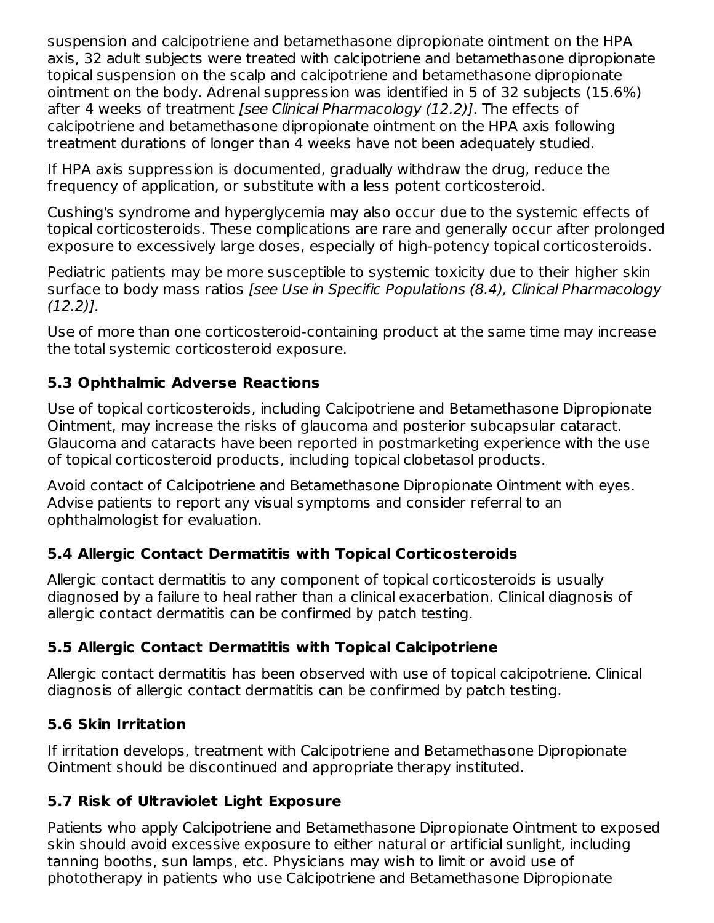suspension and calcipotriene and betamethasone dipropionate ointment on the HPA axis, 32 adult subjects were treated with calcipotriene and betamethasone dipropionate topical suspension on the scalp and calcipotriene and betamethasone dipropionate ointment on the body. Adrenal suppression was identified in 5 of 32 subjects (15.6%) after 4 weeks of treatment [see Clinical Pharmacology (12.2)]. The effects of calcipotriene and betamethasone dipropionate ointment on the HPA axis following treatment durations of longer than 4 weeks have not been adequately studied.

If HPA axis suppression is documented, gradually withdraw the drug, reduce the frequency of application, or substitute with a less potent corticosteroid.

Cushing's syndrome and hyperglycemia may also occur due to the systemic effects of topical corticosteroids. These complications are rare and generally occur after prolonged exposure to excessively large doses, especially of high-potency topical corticosteroids.

Pediatric patients may be more susceptible to systemic toxicity due to their higher skin surface to body mass ratios [see Use in Specific Populations (8.4), Clinical Pharmacology (12.2)].

Use of more than one corticosteroid-containing product at the same time may increase the total systemic corticosteroid exposure.

## **5.3 Ophthalmic Adverse Reactions**

Use of topical corticosteroids, including Calcipotriene and Betamethasone Dipropionate Ointment, may increase the risks of glaucoma and posterior subcapsular cataract. Glaucoma and cataracts have been reported in postmarketing experience with the use of topical corticosteroid products, including topical clobetasol products.

Avoid contact of Calcipotriene and Betamethasone Dipropionate Ointment with eyes. Advise patients to report any visual symptoms and consider referral to an ophthalmologist for evaluation.

## **5.4 Allergic Contact Dermatitis with Topical Corticosteroids**

Allergic contact dermatitis to any component of topical corticosteroids is usually diagnosed by a failure to heal rather than a clinical exacerbation. Clinical diagnosis of allergic contact dermatitis can be confirmed by patch testing.

### **5.5 Allergic Contact Dermatitis with Topical Calcipotriene**

Allergic contact dermatitis has been observed with use of topical calcipotriene. Clinical diagnosis of allergic contact dermatitis can be confirmed by patch testing.

### **5.6 Skin Irritation**

If irritation develops, treatment with Calcipotriene and Betamethasone Dipropionate Ointment should be discontinued and appropriate therapy instituted.

### **5.7 Risk of Ultraviolet Light Exposure**

Patients who apply Calcipotriene and Betamethasone Dipropionate Ointment to exposed skin should avoid excessive exposure to either natural or artificial sunlight, including tanning booths, sun lamps, etc. Physicians may wish to limit or avoid use of phototherapy in patients who use Calcipotriene and Betamethasone Dipropionate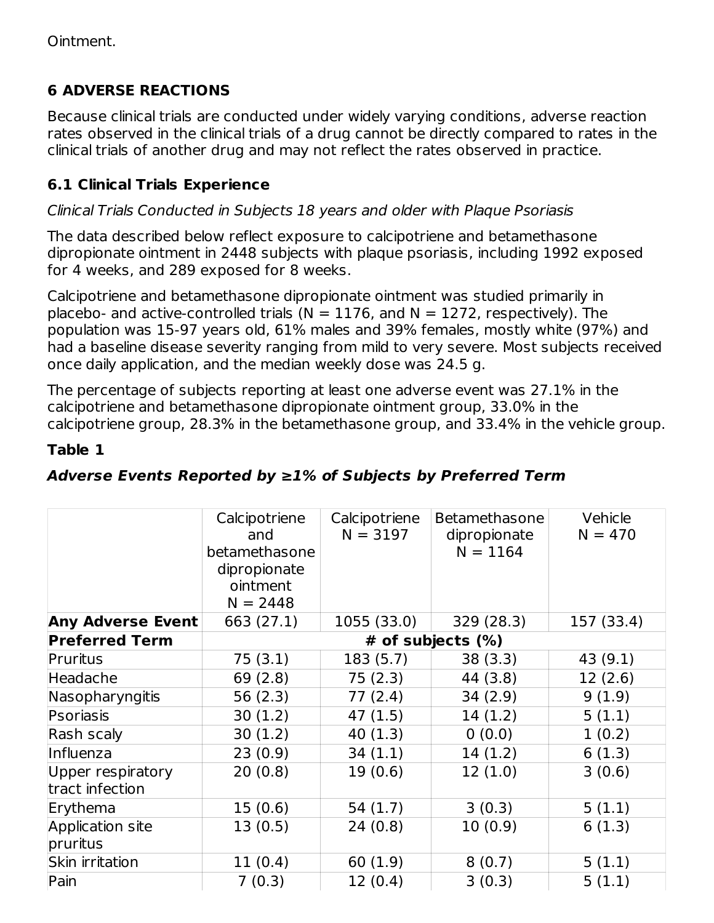# **6 ADVERSE REACTIONS**

Because clinical trials are conducted under widely varying conditions, adverse reaction rates observed in the clinical trials of a drug cannot be directly compared to rates in the clinical trials of another drug and may not reflect the rates observed in practice.

## **6.1 Clinical Trials Experience**

## Clinical Trials Conducted in Subjects 18 years and older with Plaque Psoriasis

The data described below reflect exposure to calcipotriene and betamethasone dipropionate ointment in 2448 subjects with plaque psoriasis, including 1992 exposed for 4 weeks, and 289 exposed for 8 weeks.

Calcipotriene and betamethasone dipropionate ointment was studied primarily in placebo- and active-controlled trials ( $N = 1176$ , and  $N = 1272$ , respectively). The population was 15-97 years old, 61% males and 39% females, mostly white (97%) and had a baseline disease severity ranging from mild to very severe. Most subjects received once daily application, and the median weekly dose was 24.5 g.

The percentage of subjects reporting at least one adverse event was 27.1% in the calcipotriene and betamethasone dipropionate ointment group, 33.0% in the calcipotriene group, 28.3% in the betamethasone group, and 33.4% in the vehicle group.

## **Table 1**

## **Adverse Events Reported by ≥1% of Subjects by Preferred Term**

|                                      | Calcipotriene<br>and<br>betamethasone<br>dipropionate<br>ointment<br>$N = 2448$ | Calcipotriene<br>$N = 3197$ | <b>Betamethasone</b><br>dipropionate<br>$N = 1164$ | Vehicle<br>$N = 470$ |
|--------------------------------------|---------------------------------------------------------------------------------|-----------------------------|----------------------------------------------------|----------------------|
| <b>Any Adverse Event</b>             | 663 (27.1)                                                                      | 1055 (33.0)                 | 329 (28.3)                                         | 157 (33.4)           |
| <b>Preferred Term</b>                |                                                                                 |                             | # of subjects $(\%)$                               |                      |
| Pruritus                             | 75(3.1)                                                                         | 183 (5.7)                   | 38(3.3)                                            | 43(9.1)              |
| Headache                             | 69 (2.8)                                                                        | 75(2.3)                     | 44 (3.8)                                           | 12(2.6)              |
| Nasopharyngitis                      | 56(2.3)                                                                         | 77(2.4)                     | 34(2.9)                                            | 9(1.9)               |
| Psoriasis                            | 30(1.2)                                                                         | 47(1.5)                     | 14(1.2)                                            | 5(1.1)               |
| Rash scaly                           | 30(1.2)                                                                         | 40(1.3)                     | 0(0.0)                                             | 1(0.2)               |
| Influenza                            | 23(0.9)                                                                         | 34(1.1)                     | 14(1.2)                                            | 6(1.3)               |
| Upper respiratory<br>tract infection | 20(0.8)                                                                         | 19(0.6)                     | 12(1.0)                                            | 3(0.6)               |
| Erythema                             | 15(0.6)                                                                         | 54 (1.7)                    | 3(0.3)                                             | 5(1.1)               |
| Application site<br>pruritus         | 13(0.5)                                                                         | 24(0.8)                     | 10(0.9)                                            | 6(1.3)               |
| Skin irritation                      | 11(0.4)                                                                         | 60 (1.9)                    | 8(0.7)                                             | 5(1.1)               |
| Pain                                 | 7(0.3)                                                                          | 12(0.4)                     | 3(0.3)                                             | 5(1.1)               |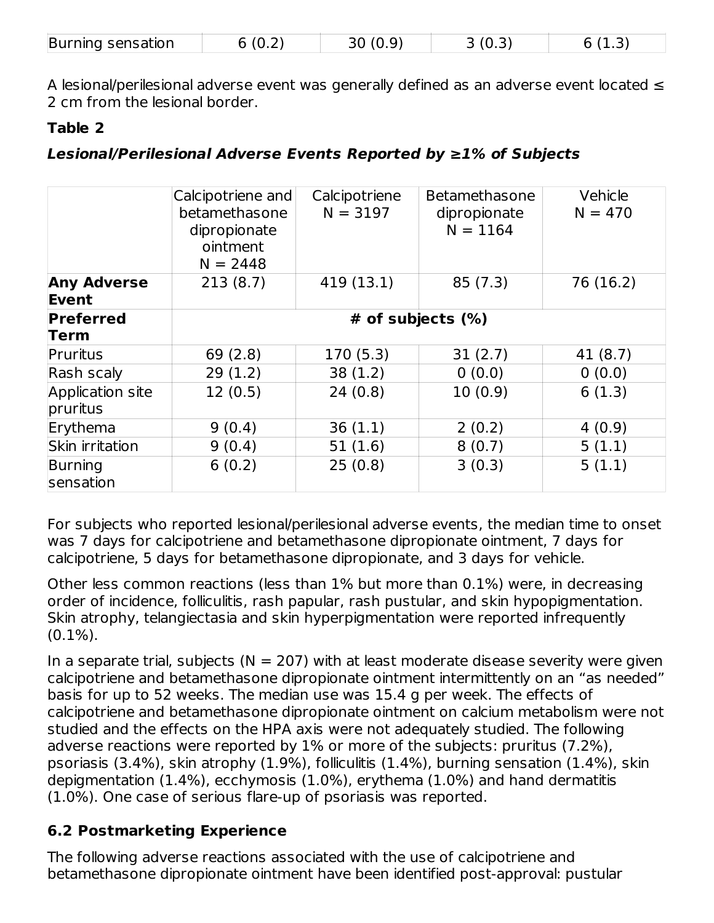| Burning sensation | (0.2) | (0.9) |  | . <u>.</u> |  |
|-------------------|-------|-------|--|------------|--|
|-------------------|-------|-------|--|------------|--|

A lesional/perilesional adverse event was generally defined as an adverse event located ≤ 2 cm from the lesional border.

### **Table 2**

### **Lesional/Perilesional Adverse Events Reported by ≥1% of Subjects**

|                              | Calcipotriene and<br>betamethasone<br>dipropionate<br>ointment<br>$N = 2448$ | Calcipotriene<br>$N = 3197$ | <b>Betamethasone</b><br>dipropionate<br>$N = 1164$ | Vehicle<br>$N = 470$ |  |  |
|------------------------------|------------------------------------------------------------------------------|-----------------------------|----------------------------------------------------|----------------------|--|--|
| <b>Any Adverse</b><br>Event  | 213(8.7)                                                                     | 419 (13.1)                  | 85(7.3)                                            | 76 (16.2)            |  |  |
| <b>Preferred</b>             | # of subjects $(\%)$                                                         |                             |                                                    |                      |  |  |
| Term                         |                                                                              |                             |                                                    |                      |  |  |
| Pruritus                     | 69 (2.8)                                                                     | 170(5.3)                    | 31(2.7)                                            | 41 (8.7)             |  |  |
| Rash scaly                   | 29(1.2)                                                                      | 38(1.2)                     | 0(0.0)                                             | 0(0.0)               |  |  |
| Application site<br>pruritus | 12(0.5)                                                                      | 24(0.8)                     | 10(0.9)                                            | 6(1.3)               |  |  |
| Erythema                     | 9(0.4)                                                                       | 36(1.1)                     | 2(0.2)                                             | 4(0.9)               |  |  |
| Skin irritation              | 9(0.4)                                                                       | 51(1.6)                     | 8(0.7)                                             | 5(1.1)               |  |  |
| Burning<br>sensation         | 6(0.2)                                                                       | 25(0.8)                     | 3(0.3)                                             | 5(1.1)               |  |  |

For subjects who reported lesional/perilesional adverse events, the median time to onset was 7 days for calcipotriene and betamethasone dipropionate ointment, 7 days for calcipotriene, 5 days for betamethasone dipropionate, and 3 days for vehicle.

Other less common reactions (less than 1% but more than 0.1%) were, in decreasing order of incidence, folliculitis, rash papular, rash pustular, and skin hypopigmentation. Skin atrophy, telangiectasia and skin hyperpigmentation were reported infrequently  $(0.1\%)$ .

In a separate trial, subjects ( $N = 207$ ) with at least moderate disease severity were given calcipotriene and betamethasone dipropionate ointment intermittently on an "as needed" basis for up to 52 weeks. The median use was 15.4 g per week. The effects of calcipotriene and betamethasone dipropionate ointment on calcium metabolism were not studied and the effects on the HPA axis were not adequately studied. The following adverse reactions were reported by 1% or more of the subjects: pruritus (7.2%), psoriasis (3.4%), skin atrophy (1.9%), folliculitis (1.4%), burning sensation (1.4%), skin depigmentation (1.4%), ecchymosis (1.0%), erythema (1.0%) and hand dermatitis (1.0%). One case of serious flare-up of psoriasis was reported.

### **6.2 Postmarketing Experience**

The following adverse reactions associated with the use of calcipotriene and betamethasone dipropionate ointment have been identified post-approval: pustular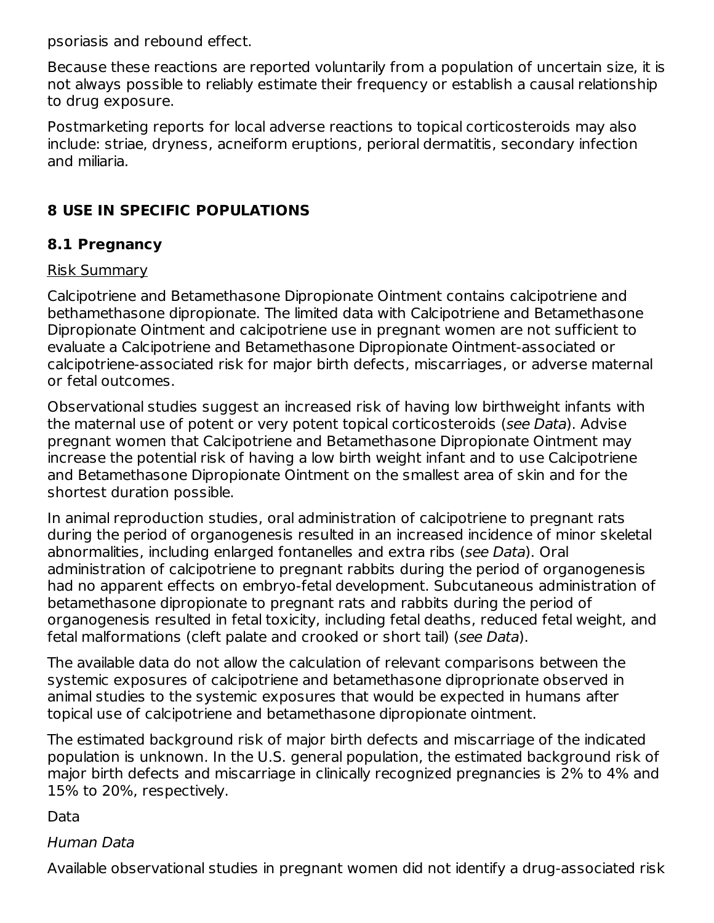psoriasis and rebound effect.

Because these reactions are reported voluntarily from a population of uncertain size, it is not always possible to reliably estimate their frequency or establish a causal relationship to drug exposure.

Postmarketing reports for local adverse reactions to topical corticosteroids may also include: striae, dryness, acneiform eruptions, perioral dermatitis, secondary infection and miliaria.

### **8 USE IN SPECIFIC POPULATIONS**

### **8.1 Pregnancy**

#### Risk Summary

Calcipotriene and Betamethasone Dipropionate Ointment contains calcipotriene and bethamethasone dipropionate. The limited data with Calcipotriene and Betamethasone Dipropionate Ointment and calcipotriene use in pregnant women are not sufficient to evaluate a Calcipotriene and Betamethasone Dipropionate Ointment-associated or calcipotriene-associated risk for major birth defects, miscarriages, or adverse maternal or fetal outcomes.

Observational studies suggest an increased risk of having low birthweight infants with the maternal use of potent or very potent topical corticosteroids (see Data). Advise pregnant women that Calcipotriene and Betamethasone Dipropionate Ointment may increase the potential risk of having a low birth weight infant and to use Calcipotriene and Betamethasone Dipropionate Ointment on the smallest area of skin and for the shortest duration possible.

In animal reproduction studies, oral administration of calcipotriene to pregnant rats during the period of organogenesis resulted in an increased incidence of minor skeletal abnormalities, including enlarged fontanelles and extra ribs (see Data). Oral administration of calcipotriene to pregnant rabbits during the period of organogenesis had no apparent effects on embryo-fetal development. Subcutaneous administration of betamethasone dipropionate to pregnant rats and rabbits during the period of organogenesis resulted in fetal toxicity, including fetal deaths, reduced fetal weight, and fetal malformations (cleft palate and crooked or short tail) (see Data).

The available data do not allow the calculation of relevant comparisons between the systemic exposures of calcipotriene and betamethasone diproprionate observed in animal studies to the systemic exposures that would be expected in humans after topical use of calcipotriene and betamethasone dipropionate ointment.

The estimated background risk of major birth defects and miscarriage of the indicated population is unknown. In the U.S. general population, the estimated background risk of major birth defects and miscarriage in clinically recognized pregnancies is 2% to 4% and 15% to 20%, respectively.

Data

### Human Data

Available observational studies in pregnant women did not identify a drug-associated risk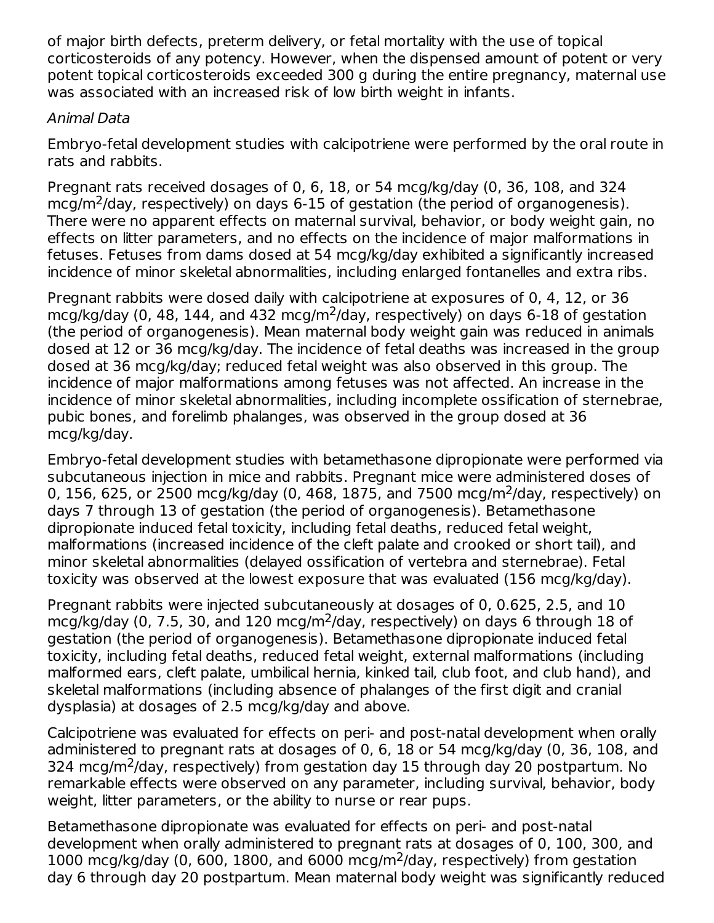of major birth defects, preterm delivery, or fetal mortality with the use of topical corticosteroids of any potency. However, when the dispensed amount of potent or very potent topical corticosteroids exceeded 300 g during the entire pregnancy, maternal use was associated with an increased risk of low birth weight in infants.

### Animal Data

Embryo-fetal development studies with calcipotriene were performed by the oral route in rats and rabbits.

Pregnant rats received dosages of 0, 6, 18, or 54 mcg/kg/day (0, 36, 108, and 324  $mcg/m<sup>2</sup>/day$ , respectively) on days 6-15 of gestation (the period of organogenesis). There were no apparent effects on maternal survival, behavior, or body weight gain, no effects on litter parameters, and no effects on the incidence of major malformations in fetuses. Fetuses from dams dosed at 54 mcg/kg/day exhibited a significantly increased incidence of minor skeletal abnormalities, including enlarged fontanelles and extra ribs.

Pregnant rabbits were dosed daily with calcipotriene at exposures of 0, 4, 12, or 36  $mcg/kg/day$  (0, 48, 144, and 432  $mcg/m<sup>2</sup>/day$ , respectively) on days 6-18 of gestation (the period of organogenesis). Mean maternal body weight gain was reduced in animals dosed at 12 or 36 mcg/kg/day. The incidence of fetal deaths was increased in the group dosed at 36 mcg/kg/day; reduced fetal weight was also observed in this group. The incidence of major malformations among fetuses was not affected. An increase in the incidence of minor skeletal abnormalities, including incomplete ossification of sternebrae, pubic bones, and forelimb phalanges, was observed in the group dosed at 36 mcg/kg/day.

Embryo-fetal development studies with betamethasone dipropionate were performed via subcutaneous injection in mice and rabbits. Pregnant mice were administered doses of 0, 156, 625, or 2500 mcg/kg/day (0, 468, 1875, and 7500 mcg/m<sup>2</sup>/day, respectively) on days 7 through 13 of gestation (the period of organogenesis). Betamethasone dipropionate induced fetal toxicity, including fetal deaths, reduced fetal weight, malformations (increased incidence of the cleft palate and crooked or short tail), and minor skeletal abnormalities (delayed ossification of vertebra and sternebrae). Fetal toxicity was observed at the lowest exposure that was evaluated (156 mcg/kg/day).

Pregnant rabbits were injected subcutaneously at dosages of 0, 0.625, 2.5, and 10 mcg/kg/day (0, 7.5, 30, and 120 mcg/m<sup>2</sup>/day, respectively) on days 6 through 18 of gestation (the period of organogenesis). Betamethasone dipropionate induced fetal toxicity, including fetal deaths, reduced fetal weight, external malformations (including malformed ears, cleft palate, umbilical hernia, kinked tail, club foot, and club hand), and skeletal malformations (including absence of phalanges of the first digit and cranial dysplasia) at dosages of 2.5 mcg/kg/day and above.

Calcipotriene was evaluated for effects on peri- and post-natal development when orally administered to pregnant rats at dosages of 0, 6, 18 or 54 mcg/kg/day (0, 36, 108, and 324 mcg/m<sup>2</sup>/day, respectively) from gestation day 15 through day 20 postpartum. No remarkable effects were observed on any parameter, including survival, behavior, body weight, litter parameters, or the ability to nurse or rear pups.

Betamethasone dipropionate was evaluated for effects on peri- and post-natal development when orally administered to pregnant rats at dosages of 0, 100, 300, and 1000 mcg/kg/day (0, 600, 1800, and 6000 mcg/m<sup>2</sup>/day, respectively) from gestation day 6 through day 20 postpartum. Mean maternal body weight was significantly reduced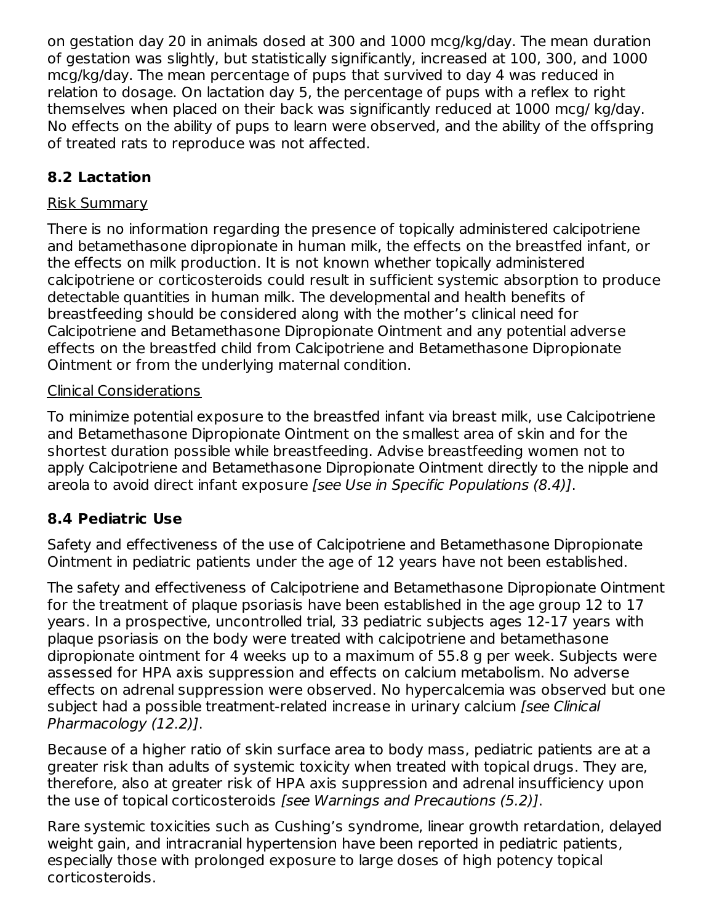on gestation day 20 in animals dosed at 300 and 1000 mcg/kg/day. The mean duration of gestation was slightly, but statistically significantly, increased at 100, 300, and 1000 mcg/kg/day. The mean percentage of pups that survived to day 4 was reduced in relation to dosage. On lactation day 5, the percentage of pups with a reflex to right themselves when placed on their back was significantly reduced at 1000 mcg/ kg/day. No effects on the ability of pups to learn were observed, and the ability of the offspring of treated rats to reproduce was not affected.

## **8.2 Lactation**

### Risk Summary

There is no information regarding the presence of topically administered calcipotriene and betamethasone dipropionate in human milk, the effects on the breastfed infant, or the effects on milk production. It is not known whether topically administered calcipotriene or corticosteroids could result in sufficient systemic absorption to produce detectable quantities in human milk. The developmental and health benefits of breastfeeding should be considered along with the mother's clinical need for Calcipotriene and Betamethasone Dipropionate Ointment and any potential adverse effects on the breastfed child from Calcipotriene and Betamethasone Dipropionate Ointment or from the underlying maternal condition.

### Clinical Considerations

To minimize potential exposure to the breastfed infant via breast milk, use Calcipotriene and Betamethasone Dipropionate Ointment on the smallest area of skin and for the shortest duration possible while breastfeeding. Advise breastfeeding women not to apply Calcipotriene and Betamethasone Dipropionate Ointment directly to the nipple and areola to avoid direct infant exposure [see Use in Specific Populations (8.4)].

## **8.4 Pediatric Use**

Safety and effectiveness of the use of Calcipotriene and Betamethasone Dipropionate Ointment in pediatric patients under the age of 12 years have not been established.

The safety and effectiveness of Calcipotriene and Betamethasone Dipropionate Ointment for the treatment of plaque psoriasis have been established in the age group 12 to 17 years. In a prospective, uncontrolled trial, 33 pediatric subjects ages 12-17 years with plaque psoriasis on the body were treated with calcipotriene and betamethasone dipropionate ointment for 4 weeks up to a maximum of 55.8 g per week. Subjects were assessed for HPA axis suppression and effects on calcium metabolism. No adverse effects on adrenal suppression were observed. No hypercalcemia was observed but one subject had a possible treatment-related increase in urinary calcium [see Clinical] Pharmacology (12.2)].

Because of a higher ratio of skin surface area to body mass, pediatric patients are at a greater risk than adults of systemic toxicity when treated with topical drugs. They are, therefore, also at greater risk of HPA axis suppression and adrenal insufficiency upon the use of topical corticosteroids [see Warnings and Precautions (5.2)].

Rare systemic toxicities such as Cushing's syndrome, linear growth retardation, delayed weight gain, and intracranial hypertension have been reported in pediatric patients, especially those with prolonged exposure to large doses of high potency topical corticosteroids.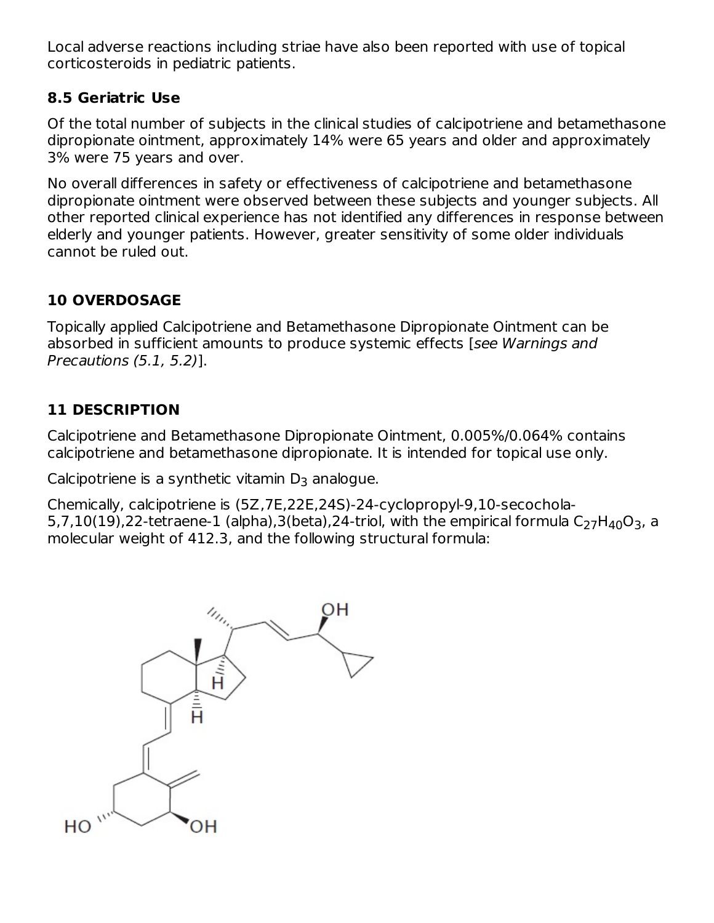Local adverse reactions including striae have also been reported with use of topical corticosteroids in pediatric patients.

### **8.5 Geriatric Use**

Of the total number of subjects in the clinical studies of calcipotriene and betamethasone dipropionate ointment, approximately 14% were 65 years and older and approximately 3% were 75 years and over.

No overall differences in safety or effectiveness of calcipotriene and betamethasone dipropionate ointment were observed between these subjects and younger subjects. All other reported clinical experience has not identified any differences in response between elderly and younger patients. However, greater sensitivity of some older individuals cannot be ruled out.

## **10 OVERDOSAGE**

Topically applied Calcipotriene and Betamethasone Dipropionate Ointment can be absorbed in sufficient amounts to produce systemic effects [see Warnings and Precautions (5.1, 5.2)].

### **11 DESCRIPTION**

Calcipotriene and Betamethasone Dipropionate Ointment, 0.005%/0.064% contains calcipotriene and betamethasone dipropionate. It is intended for topical use only.

Calcipotriene is a synthetic vitamin  $D_3$  analogue.

Chemically, calcipotriene is (5Z,7E,22E,24S)-24-cyclopropyl-9,10-secochola-5,7,10(19),22-tetraene-1 (alpha),3(beta),24-triol, with the empirical formula C $_{\rm 27}$ H $_{\rm 40}$ O $_{\rm 3}$ , a molecular weight of 412.3, and the following structural formula:

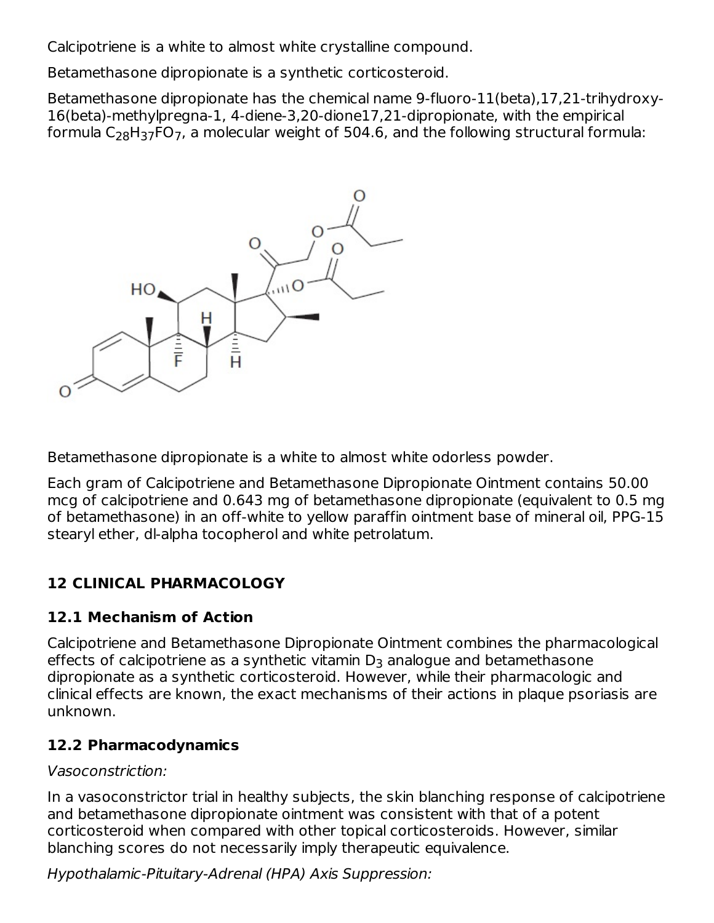Calcipotriene is a white to almost white crystalline compound.

Betamethasone dipropionate is a synthetic corticosteroid.

Betamethasone dipropionate has the chemical name 9-fluoro-11(beta),17,21-trihydroxy-16(beta)-methylpregna-1, 4-diene-3,20-dione17,21-dipropionate, with the empirical formula C $_{\rm 28}$ H $_{\rm 37}$ FO $_{\rm 7}$ , a molecular weight of 504.6, and the following structural formula:



Betamethasone dipropionate is a white to almost white odorless powder.

Each gram of Calcipotriene and Betamethasone Dipropionate Ointment contains 50.00 mcg of calcipotriene and 0.643 mg of betamethasone dipropionate (equivalent to 0.5 mg of betamethasone) in an off-white to yellow paraffin ointment base of mineral oil, PPG-15 stearyl ether, dl-alpha tocopherol and white petrolatum.

# **12 CLINICAL PHARMACOLOGY**

## **12.1 Mechanism of Action**

Calcipotriene and Betamethasone Dipropionate Ointment combines the pharmacological effects of calcipotriene as a synthetic vitamin  $\mathsf{D}_3$  analogue and betamethasone dipropionate as a synthetic corticosteroid. However, while their pharmacologic and clinical effects are known, the exact mechanisms of their actions in plaque psoriasis are unknown.

### **12.2 Pharmacodynamics**

### Vasoconstriction:

In a vasoconstrictor trial in healthy subjects, the skin blanching response of calcipotriene and betamethasone dipropionate ointment was consistent with that of a potent corticosteroid when compared with other topical corticosteroids. However, similar blanching scores do not necessarily imply therapeutic equivalence.

Hypothalamic-Pituitary-Adrenal (HPA) Axis Suppression: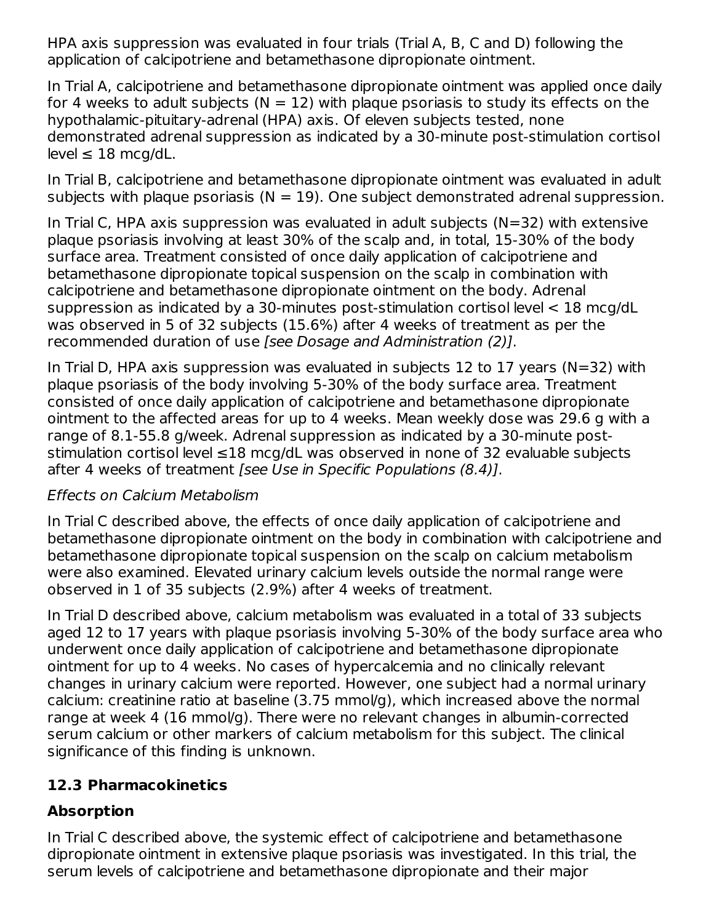HPA axis suppression was evaluated in four trials (Trial A, B, C and D) following the application of calcipotriene and betamethasone dipropionate ointment.

In Trial A, calcipotriene and betamethasone dipropionate ointment was applied once daily for 4 weeks to adult subjects ( $N = 12$ ) with plaque psoriasis to study its effects on the hypothalamic-pituitary-adrenal (HPA) axis. Of eleven subjects tested, none demonstrated adrenal suppression as indicated by a 30-minute post-stimulation cortisol  $level \leq 18$  mcg/dL.

In Trial B, calcipotriene and betamethasone dipropionate ointment was evaluated in adult subjects with plaque psoriasis ( $N = 19$ ). One subject demonstrated adrenal suppression.

In Trial C, HPA axis suppression was evaluated in adult subjects  $(N=32)$  with extensive plaque psoriasis involving at least 30% of the scalp and, in total, 15-30% of the body surface area. Treatment consisted of once daily application of calcipotriene and betamethasone dipropionate topical suspension on the scalp in combination with calcipotriene and betamethasone dipropionate ointment on the body. Adrenal suppression as indicated by a 30-minutes post-stimulation cortisol level < 18 mcg/dL was observed in 5 of 32 subjects (15.6%) after 4 weeks of treatment as per the recommended duration of use [see Dosage and Administration (2)].

In Trial D, HPA axis suppression was evaluated in subjects 12 to 17 years (N=32) with plaque psoriasis of the body involving 5-30% of the body surface area. Treatment consisted of once daily application of calcipotriene and betamethasone dipropionate ointment to the affected areas for up to 4 weeks. Mean weekly dose was 29.6 g with a range of 8.1-55.8 g/week. Adrenal suppression as indicated by a 30-minute poststimulation cortisol level ≤18 mcg/dL was observed in none of 32 evaluable subjects after 4 weeks of treatment [see Use in Specific Populations (8.4)].

### Effects on Calcium Metabolism

In Trial C described above, the effects of once daily application of calcipotriene and betamethasone dipropionate ointment on the body in combination with calcipotriene and betamethasone dipropionate topical suspension on the scalp on calcium metabolism were also examined. Elevated urinary calcium levels outside the normal range were observed in 1 of 35 subjects (2.9%) after 4 weeks of treatment.

In Trial D described above, calcium metabolism was evaluated in a total of 33 subjects aged 12 to 17 years with plaque psoriasis involving 5-30% of the body surface area who underwent once daily application of calcipotriene and betamethasone dipropionate ointment for up to 4 weeks. No cases of hypercalcemia and no clinically relevant changes in urinary calcium were reported. However, one subject had a normal urinary calcium: creatinine ratio at baseline (3.75 mmol/g), which increased above the normal range at week 4 (16 mmol/g). There were no relevant changes in albumin-corrected serum calcium or other markers of calcium metabolism for this subject. The clinical significance of this finding is unknown.

## **12.3 Pharmacokinetics**

## **Absorption**

In Trial C described above, the systemic effect of calcipotriene and betamethasone dipropionate ointment in extensive plaque psoriasis was investigated. In this trial, the serum levels of calcipotriene and betamethasone dipropionate and their major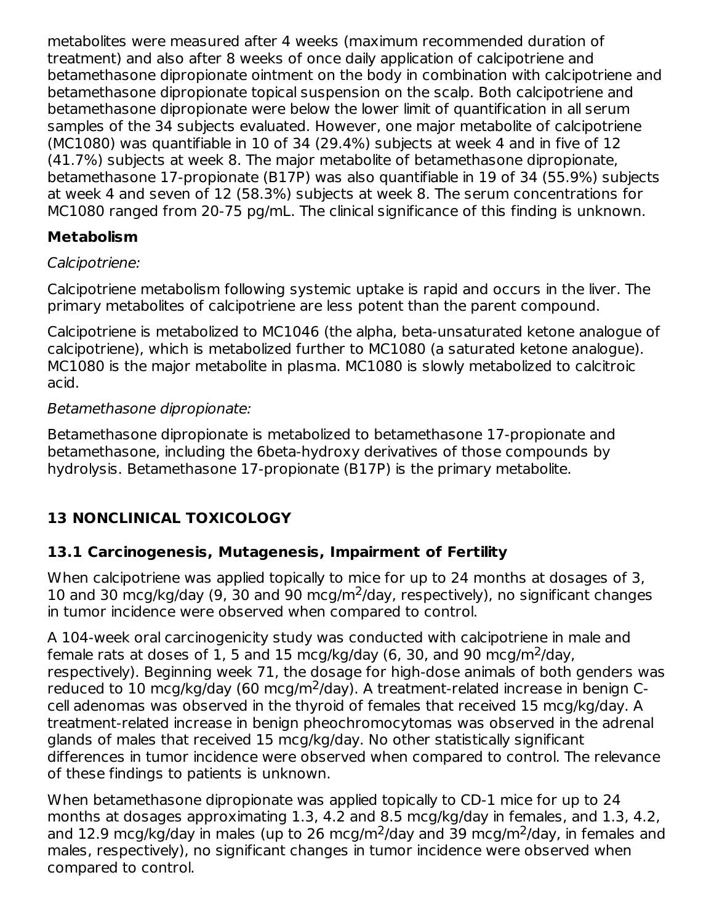metabolites were measured after 4 weeks (maximum recommended duration of treatment) and also after 8 weeks of once daily application of calcipotriene and betamethasone dipropionate ointment on the body in combination with calcipotriene and betamethasone dipropionate topical suspension on the scalp. Both calcipotriene and betamethasone dipropionate were below the lower limit of quantification in all serum samples of the 34 subjects evaluated. However, one major metabolite of calcipotriene (MC1080) was quantifiable in 10 of 34 (29.4%) subjects at week 4 and in five of 12 (41.7%) subjects at week 8. The major metabolite of betamethasone dipropionate, betamethasone 17-propionate (B17P) was also quantifiable in 19 of 34 (55.9%) subjects at week 4 and seven of 12 (58.3%) subjects at week 8. The serum concentrations for MC1080 ranged from 20-75 pg/mL. The clinical significance of this finding is unknown.

## **Metabolism**

### Calcipotriene:

Calcipotriene metabolism following systemic uptake is rapid and occurs in the liver. The primary metabolites of calcipotriene are less potent than the parent compound.

Calcipotriene is metabolized to MC1046 (the alpha, beta-unsaturated ketone analogue of calcipotriene), which is metabolized further to MC1080 (a saturated ketone analogue). MC1080 is the major metabolite in plasma. MC1080 is slowly metabolized to calcitroic acid.

### Betamethasone dipropionate:

Betamethasone dipropionate is metabolized to betamethasone 17-propionate and betamethasone, including the 6beta-hydroxy derivatives of those compounds by hydrolysis. Betamethasone 17-propionate (B17P) is the primary metabolite.

## **13 NONCLINICAL TOXICOLOGY**

## **13.1 Carcinogenesis, Mutagenesis, Impairment of Fertility**

When calcipotriene was applied topically to mice for up to 24 months at dosages of 3, 10 and 30 mcg/kg/day (9, 30 and 90 mcg/m<sup>2</sup>/day, respectively), no significant changes in tumor incidence were observed when compared to control.

A 104-week oral carcinogenicity study was conducted with calcipotriene in male and female rats at doses of 1, 5 and 15 mcg/kg/day (6, 30, and 90 mcg/m<sup>2</sup>/day, respectively). Beginning week 71, the dosage for high-dose animals of both genders was reduced to 10 mcg/kg/day (60 mcg/m<sup>2</sup>/day). A treatment-related increase in benign Ccell adenomas was observed in the thyroid of females that received 15 mcg/kg/day. A treatment-related increase in benign pheochromocytomas was observed in the adrenal glands of males that received 15 mcg/kg/day. No other statistically significant differences in tumor incidence were observed when compared to control. The relevance of these findings to patients is unknown.

When betamethasone dipropionate was applied topically to CD-1 mice for up to 24 months at dosages approximating 1.3, 4.2 and 8.5 mcg/kg/day in females, and 1.3, 4.2, and 12.9 mcg/kg/day in males (up to 26 mcg/m<sup>2</sup>/day and 39 mcg/m<sup>2</sup>/day, in females and males, respectively), no significant changes in tumor incidence were observed when compared to control.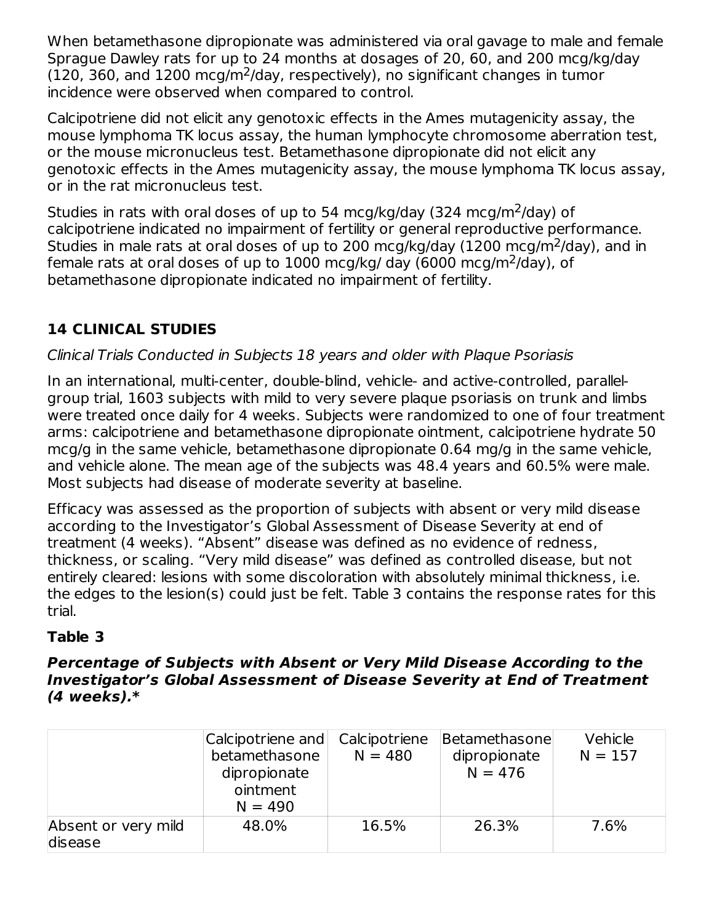When betamethasone dipropionate was administered via oral gavage to male and female Sprague Dawley rats for up to 24 months at dosages of 20, 60, and 200 mcg/kg/day  $(120, 360,$  and  $1200 \text{ mcg/m}^2$ /day, respectively), no significant changes in tumor incidence were observed when compared to control.

Calcipotriene did not elicit any genotoxic effects in the Ames mutagenicity assay, the mouse lymphoma TK locus assay, the human lymphocyte chromosome aberration test, or the mouse micronucleus test. Betamethasone dipropionate did not elicit any genotoxic effects in the Ames mutagenicity assay, the mouse lymphoma TK locus assay, or in the rat micronucleus test.

Studies in rats with oral doses of up to 54 mcg/kg/day (324 mcg/m<sup>2</sup>/day) of calcipotriene indicated no impairment of fertility or general reproductive performance. Studies in male rats at oral doses of up to 200 mcg/kg/day (1200 mcg/m<sup>2</sup>/day), and in female rats at oral doses of up to  $1000$  mcg/kg/ day (6000 mcg/m<sup>2</sup>/day), of betamethasone dipropionate indicated no impairment of fertility.

# **14 CLINICAL STUDIES**

## Clinical Trials Conducted in Subjects 18 years and older with Plaque Psoriasis

In an international, multi-center, double-blind, vehicle- and active-controlled, parallelgroup trial, 1603 subjects with mild to very severe plaque psoriasis on trunk and limbs were treated once daily for 4 weeks. Subjects were randomized to one of four treatment arms: calcipotriene and betamethasone dipropionate ointment, calcipotriene hydrate 50 mcg/g in the same vehicle, betamethasone dipropionate 0.64 mg/g in the same vehicle, and vehicle alone. The mean age of the subjects was 48.4 years and 60.5% were male. Most subjects had disease of moderate severity at baseline.

Efficacy was assessed as the proportion of subjects with absent or very mild disease according to the Investigator's Global Assessment of Disease Severity at end of treatment (4 weeks). "Absent" disease was defined as no evidence of redness, thickness, or scaling. "Very mild disease" was defined as controlled disease, but not entirely cleared: lesions with some discoloration with absolutely minimal thickness, i.e. the edges to the lesion(s) could just be felt. Table 3 contains the response rates for this trial.

## **Table 3**

#### **Percentage of Subjects with Absent or Very Mild Disease According to the Investigator's Global Assessment of Disease Severity at End of Treatment (4 weeks).\***

|                                | Calcipotriene and<br>betamethasone<br>dipropionate<br>ointment<br>$N = 490$ | Calcipotriene<br>$N = 480$ | Betamethasone<br>dipropionate<br>$N = 476$ | Vehicle<br>$N = 157$ |
|--------------------------------|-----------------------------------------------------------------------------|----------------------------|--------------------------------------------|----------------------|
| Absent or very mild<br>disease | 48.0%                                                                       | 16.5%                      | 26.3%                                      | 7.6%                 |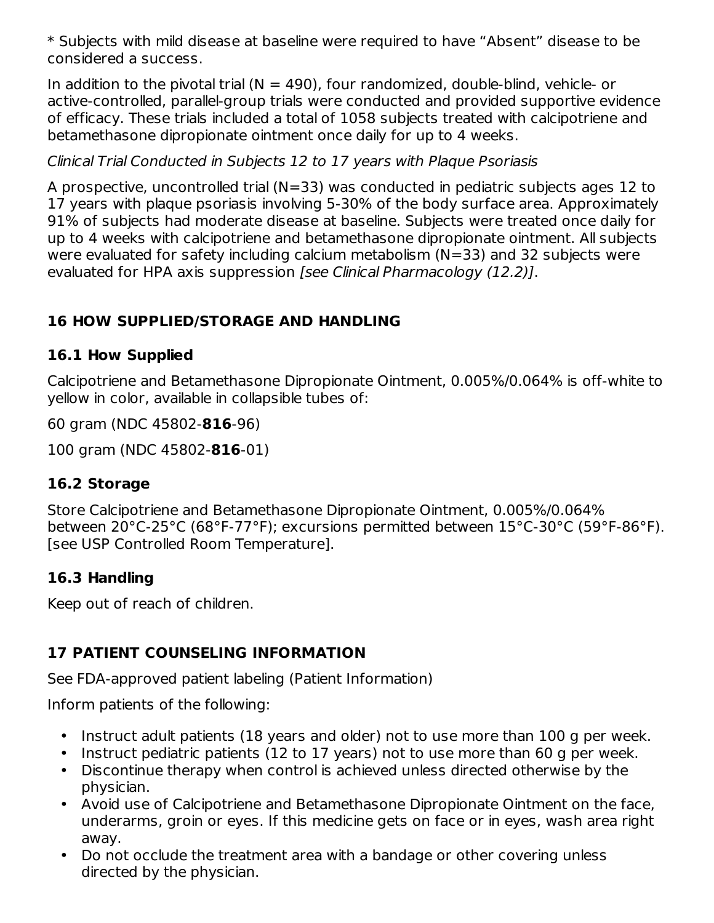\* Subjects with mild disease at baseline were required to have "Absent" disease to be considered a success.

In addition to the pivotal trial ( $N = 490$ ), four randomized, double-blind, vehicle- or active-controlled, parallel-group trials were conducted and provided supportive evidence of efficacy. These trials included a total of 1058 subjects treated with calcipotriene and betamethasone dipropionate ointment once daily for up to 4 weeks.

## Clinical Trial Conducted in Subjects 12 to 17 years with Plaque Psoriasis

A prospective, uncontrolled trial (N=33) was conducted in pediatric subjects ages 12 to 17 years with plaque psoriasis involving 5-30% of the body surface area. Approximately 91% of subjects had moderate disease at baseline. Subjects were treated once daily for up to 4 weeks with calcipotriene and betamethasone dipropionate ointment. All subjects were evaluated for safety including calcium metabolism (N=33) and 32 subjects were evaluated for HPA axis suppression [see Clinical Pharmacology (12.2)].

## **16 HOW SUPPLIED/STORAGE AND HANDLING**

## **16.1 How Supplied**

Calcipotriene and Betamethasone Dipropionate Ointment, 0.005%/0.064% is off-white to yellow in color, available in collapsible tubes of:

60 gram (NDC 45802-**816**-96)

100 gram (NDC 45802-**816**-01)

## **16.2 Storage**

Store Calcipotriene and Betamethasone Dipropionate Ointment, 0.005%/0.064% between 20°C-25°C (68°F-77°F); excursions permitted between 15°C-30°C (59°F-86°F). [see USP Controlled Room Temperature].

## **16.3 Handling**

Keep out of reach of children.

# **17 PATIENT COUNSELING INFORMATION**

See FDA-approved patient labeling (Patient Information)

Inform patients of the following:

- Instruct adult patients (18 years and older) not to use more than 100 g per week.
- Instruct pediatric patients (12 to 17 years) not to use more than 60 g per week.
- Discontinue therapy when control is achieved unless directed otherwise by the physician.
- Avoid use of Calcipotriene and Betamethasone Dipropionate Ointment on the face, underarms, groin or eyes. If this medicine gets on face or in eyes, wash area right away.
- Do not occlude the treatment area with a bandage or other covering unless directed by the physician.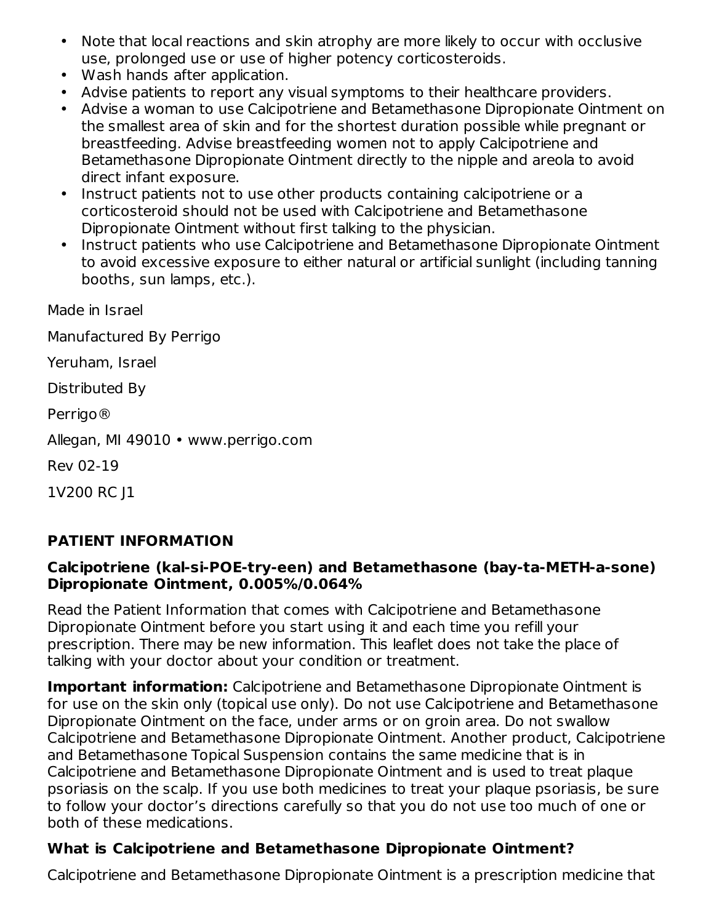- Note that local reactions and skin atrophy are more likely to occur with occlusive use, prolonged use or use of higher potency corticosteroids.
- Wash hands after application.
- Advise patients to report any visual symptoms to their healthcare providers.
- Advise a woman to use Calcipotriene and Betamethasone Dipropionate Ointment on the smallest area of skin and for the shortest duration possible while pregnant or breastfeeding. Advise breastfeeding women not to apply Calcipotriene and Betamethasone Dipropionate Ointment directly to the nipple and areola to avoid direct infant exposure.
- Instruct patients not to use other products containing calcipotriene or a corticosteroid should not be used with Calcipotriene and Betamethasone Dipropionate Ointment without first talking to the physician.
- Instruct patients who use Calcipotriene and Betamethasone Dipropionate Ointment to avoid excessive exposure to either natural or artificial sunlight (including tanning booths, sun lamps, etc.).

Made in Israel

Manufactured By Perrigo

Yeruham, Israel

Distributed By

Perrigo®

Allegan, MI 49010 • www.perrigo.com

Rev 02-19

1V200 RC J1

### **PATIENT INFORMATION**

#### **Calcipotriene (kal-si-POE-try-een) and Betamethasone (bay-ta-METH-a-sone) Dipropionate Ointment, 0.005%/0.064%**

Read the Patient Information that comes with Calcipotriene and Betamethasone Dipropionate Ointment before you start using it and each time you refill your prescription. There may be new information. This leaflet does not take the place of talking with your doctor about your condition or treatment.

**Important information:** Calcipotriene and Betamethasone Dipropionate Ointment is for use on the skin only (topical use only). Do not use Calcipotriene and Betamethasone Dipropionate Ointment on the face, under arms or on groin area. Do not swallow Calcipotriene and Betamethasone Dipropionate Ointment. Another product, Calcipotriene and Betamethasone Topical Suspension contains the same medicine that is in Calcipotriene and Betamethasone Dipropionate Ointment and is used to treat plaque psoriasis on the scalp. If you use both medicines to treat your plaque psoriasis, be sure to follow your doctor's directions carefully so that you do not use too much of one or both of these medications.

### **What is Calcipotriene and Betamethasone Dipropionate Ointment?**

Calcipotriene and Betamethasone Dipropionate Ointment is a prescription medicine that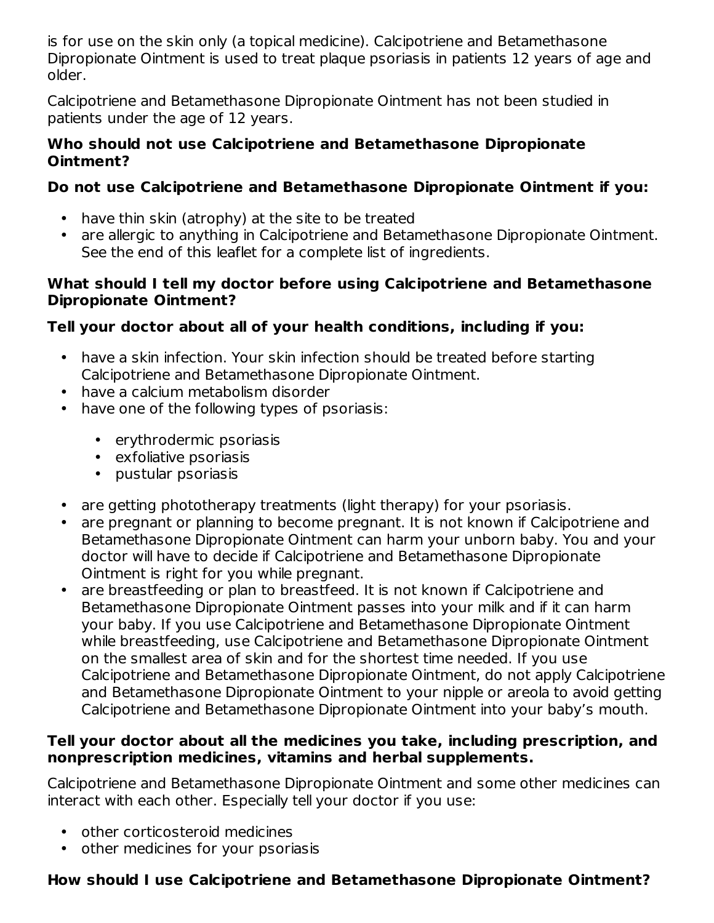is for use on the skin only (a topical medicine). Calcipotriene and Betamethasone Dipropionate Ointment is used to treat plaque psoriasis in patients 12 years of age and older.

Calcipotriene and Betamethasone Dipropionate Ointment has not been studied in patients under the age of 12 years.

#### **Who should not use Calcipotriene and Betamethasone Dipropionate Ointment?**

## **Do not use Calcipotriene and Betamethasone Dipropionate Ointment if you:**

- have thin skin (atrophy) at the site to be treated
- are allergic to anything in Calcipotriene and Betamethasone Dipropionate Ointment. See the end of this leaflet for a complete list of ingredients.

### **What should I tell my doctor before using Calcipotriene and Betamethasone Dipropionate Ointment?**

## **Tell your doctor about all of your health conditions, including if you:**

- have a skin infection. Your skin infection should be treated before starting Calcipotriene and Betamethasone Dipropionate Ointment.
- have a calcium metabolism disorder
- have one of the following types of psoriasis:
	- erythrodermic psoriasis
	- exfoliative psoriasis
	- pustular psoriasis
- are getting phototherapy treatments (light therapy) for your psoriasis.
- are pregnant or planning to become pregnant. It is not known if Calcipotriene and Betamethasone Dipropionate Ointment can harm your unborn baby. You and your doctor will have to decide if Calcipotriene and Betamethasone Dipropionate Ointment is right for you while pregnant.
- are breastfeeding or plan to breastfeed. It is not known if Calcipotriene and Betamethasone Dipropionate Ointment passes into your milk and if it can harm your baby. If you use Calcipotriene and Betamethasone Dipropionate Ointment while breastfeeding, use Calcipotriene and Betamethasone Dipropionate Ointment on the smallest area of skin and for the shortest time needed. If you use Calcipotriene and Betamethasone Dipropionate Ointment, do not apply Calcipotriene and Betamethasone Dipropionate Ointment to your nipple or areola to avoid getting Calcipotriene and Betamethasone Dipropionate Ointment into your baby's mouth.

### **Tell your doctor about all the medicines you take, including prescription, and nonprescription medicines, vitamins and herbal supplements.**

Calcipotriene and Betamethasone Dipropionate Ointment and some other medicines can interact with each other. Especially tell your doctor if you use:

- other corticosteroid medicines
- other medicines for your psoriasis

## **How should I use Calcipotriene and Betamethasone Dipropionate Ointment?**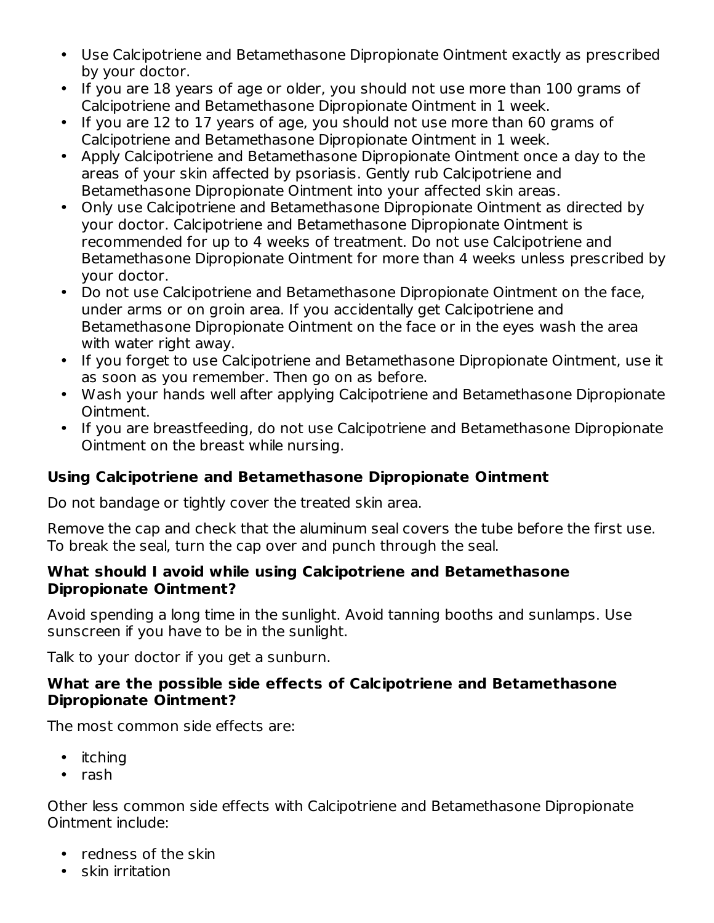- Use Calcipotriene and Betamethasone Dipropionate Ointment exactly as prescribed by your doctor.
- If you are 18 years of age or older, you should not use more than 100 grams of Calcipotriene and Betamethasone Dipropionate Ointment in 1 week.
- If you are 12 to 17 years of age, you should not use more than 60 grams of Calcipotriene and Betamethasone Dipropionate Ointment in 1 week.
- Apply Calcipotriene and Betamethasone Dipropionate Ointment once a day to the areas of your skin affected by psoriasis. Gently rub Calcipotriene and Betamethasone Dipropionate Ointment into your affected skin areas.
- Only use Calcipotriene and Betamethasone Dipropionate Ointment as directed by your doctor. Calcipotriene and Betamethasone Dipropionate Ointment is recommended for up to 4 weeks of treatment. Do not use Calcipotriene and Betamethasone Dipropionate Ointment for more than 4 weeks unless prescribed by your doctor.
- Do not use Calcipotriene and Betamethasone Dipropionate Ointment on the face, under arms or on groin area. If you accidentally get Calcipotriene and Betamethasone Dipropionate Ointment on the face or in the eyes wash the area with water right away.
- If you forget to use Calcipotriene and Betamethasone Dipropionate Ointment, use it as soon as you remember. Then go on as before.
- Wash your hands well after applying Calcipotriene and Betamethasone Dipropionate Ointment.
- If you are breastfeeding, do not use Calcipotriene and Betamethasone Dipropionate Ointment on the breast while nursing.

### **Using Calcipotriene and Betamethasone Dipropionate Ointment**

Do not bandage or tightly cover the treated skin area.

Remove the cap and check that the aluminum seal covers the tube before the first use. To break the seal, turn the cap over and punch through the seal.

#### **What should I avoid while using Calcipotriene and Betamethasone Dipropionate Ointment?**

Avoid spending a long time in the sunlight. Avoid tanning booths and sunlamps. Use sunscreen if you have to be in the sunlight.

Talk to your doctor if you get a sunburn.

#### **What are the possible side effects of Calcipotriene and Betamethasone Dipropionate Ointment?**

The most common side effects are:

- itching
- rash

Other less common side effects with Calcipotriene and Betamethasone Dipropionate Ointment include:

- redness of the skin
- skin irritation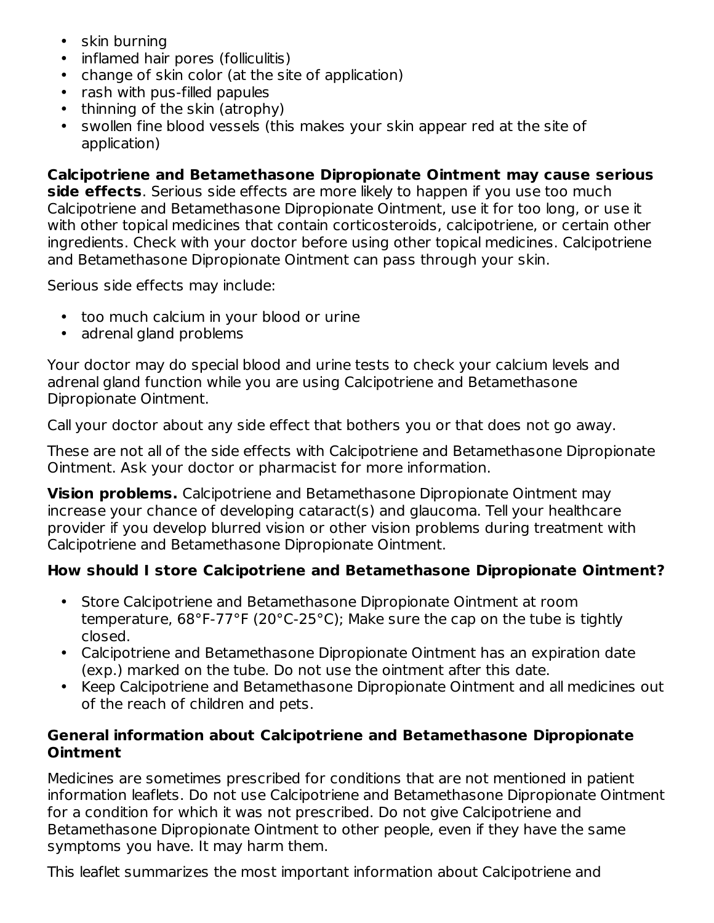- skin burning
- inflamed hair pores (folliculitis)
- change of skin color (at the site of application)
- rash with pus-filled papules
- thinning of the skin (atrophy)
- swollen fine blood vessels (this makes your skin appear red at the site of application)

**Calcipotriene and Betamethasone Dipropionate Ointment may cause serious side effects**. Serious side effects are more likely to happen if you use too much Calcipotriene and Betamethasone Dipropionate Ointment, use it for too long, or use it with other topical medicines that contain corticosteroids, calcipotriene, or certain other ingredients. Check with your doctor before using other topical medicines. Calcipotriene and Betamethasone Dipropionate Ointment can pass through your skin.

Serious side effects may include:

- too much calcium in your blood or urine
- adrenal gland problems

Your doctor may do special blood and urine tests to check your calcium levels and adrenal gland function while you are using Calcipotriene and Betamethasone Dipropionate Ointment.

Call your doctor about any side effect that bothers you or that does not go away.

These are not all of the side effects with Calcipotriene and Betamethasone Dipropionate Ointment. Ask your doctor or pharmacist for more information.

**Vision problems.** Calcipotriene and Betamethasone Dipropionate Ointment may increase your chance of developing cataract(s) and glaucoma. Tell your healthcare provider if you develop blurred vision or other vision problems during treatment with Calcipotriene and Betamethasone Dipropionate Ointment.

### **How should I store Calcipotriene and Betamethasone Dipropionate Ointment?**

- Store Calcipotriene and Betamethasone Dipropionate Ointment at room temperature, 68°F-77°F (20°C-25°C); Make sure the cap on the tube is tightly closed.
- Calcipotriene and Betamethasone Dipropionate Ointment has an expiration date (exp.) marked on the tube. Do not use the ointment after this date.
- Keep Calcipotriene and Betamethasone Dipropionate Ointment and all medicines out of the reach of children and pets.

### **General information about Calcipotriene and Betamethasone Dipropionate Ointment**

Medicines are sometimes prescribed for conditions that are not mentioned in patient information leaflets. Do not use Calcipotriene and Betamethasone Dipropionate Ointment for a condition for which it was not prescribed. Do not give Calcipotriene and Betamethasone Dipropionate Ointment to other people, even if they have the same symptoms you have. It may harm them.

This leaflet summarizes the most important information about Calcipotriene and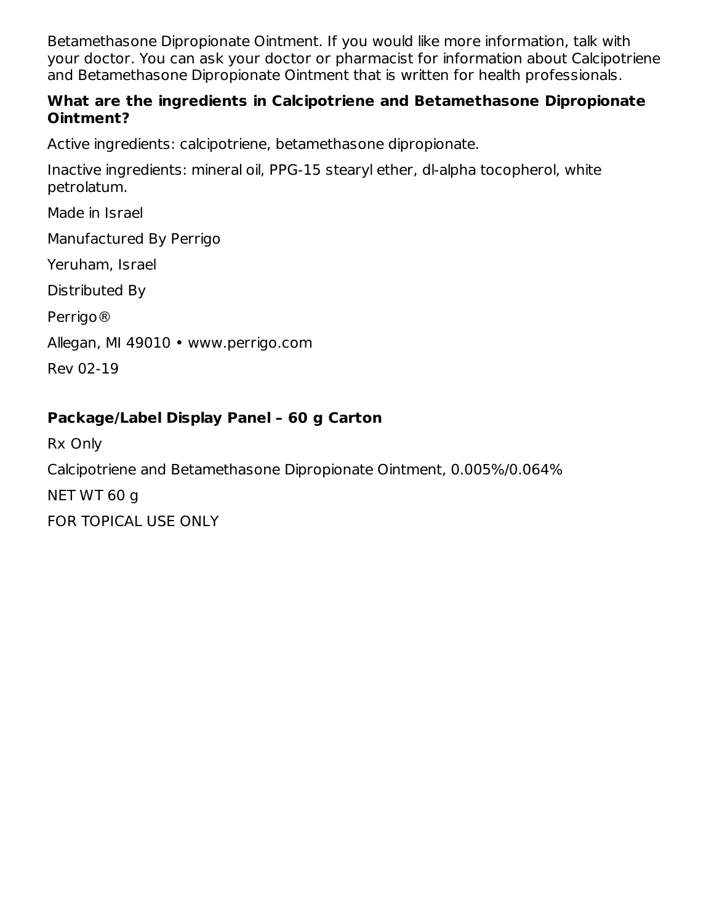Betamethasone Dipropionate Ointment. If you would like more information, talk with your doctor. You can ask your doctor or pharmacist for information about Calcipotriene and Betamethasone Dipropionate Ointment that is written for health professionals.

#### **What are the ingredients in Calcipotriene and Betamethasone Dipropionate Ointment?**

Active ingredients: calcipotriene, betamethasone dipropionate.

Inactive ingredients: mineral oil, PPG-15 stearyl ether, dl-alpha tocopherol, white petrolatum.

Made in Israel

Manufactured By Perrigo

Yeruham, Israel

Distributed By

Perrigo®

Allegan, MI 49010 • www.perrigo.com

Rev 02-19

## **Package/Label Display Panel – 60 g Carton**

Rx Only Calcipotriene and Betamethasone Dipropionate Ointment, 0.005%/0.064% NET WT 60 g FOR TOPICAL USE ONLY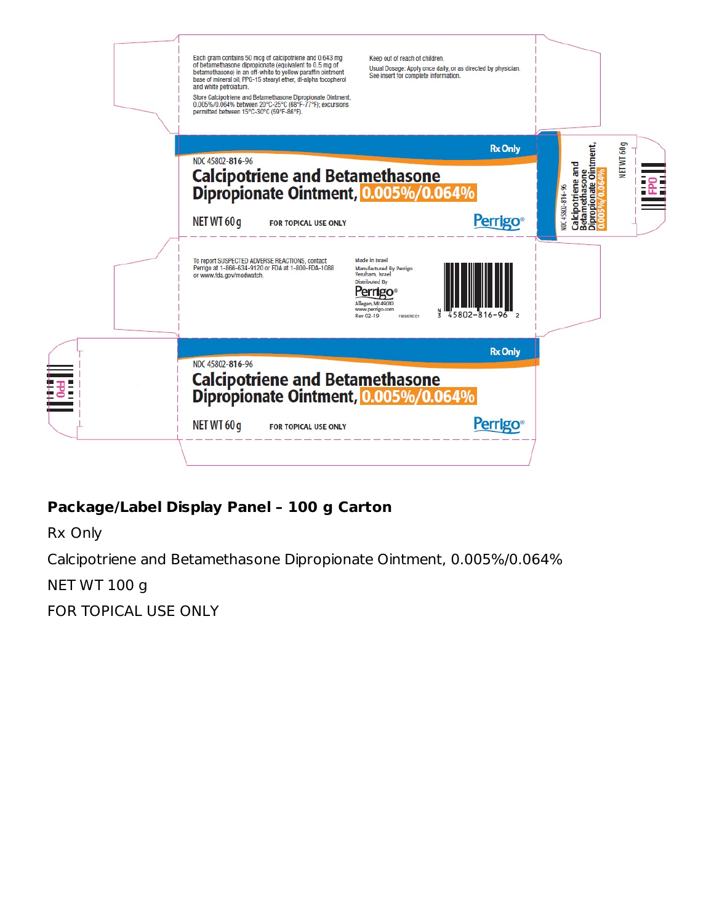| Each gram contains 50 mcg of calcipotriene and 0.643 mg<br>of betamethasone dipropionate (equivalent to 0.5 mg of<br>betamethasone) in an off-white to yellow paraffin ointment<br>base of mineral oil, PPG-15 stearyl ether, dl-alpha tocopherol<br>and white petrolatum.<br>Store Calcipotriene and Betamethasone Dipropionate Ointment,<br>0.005%/0.064% between 20°C-25°C (68°F-77°F); excursions<br>permitted between 15°C-30°C (59°F-86°F). | Keep out of reach of children.<br>Usual Dosage: Apply once daily, or as directed by physician.<br>See insert for complete information.                            |                                                                                                   |
|---------------------------------------------------------------------------------------------------------------------------------------------------------------------------------------------------------------------------------------------------------------------------------------------------------------------------------------------------------------------------------------------------------------------------------------------------|-------------------------------------------------------------------------------------------------------------------------------------------------------------------|---------------------------------------------------------------------------------------------------|
|                                                                                                                                                                                                                                                                                                                                                                                                                                                   | <b>Rx Only</b>                                                                                                                                                    | 60g                                                                                               |
| NDC 45802-816-96<br>Calcipotriene and Betamethasone<br>Dipropionate Ointment, 0.005%/0.064%<br>NET WT 60 g<br>FOR TOPICAL USE ONLY                                                                                                                                                                                                                                                                                                                | <b>Perrigo®</b>                                                                                                                                                   | Calcipotriene and<br>Betamethasone<br>Dipropionate Ointment,<br><b>NET WT</b><br>VDC 45802-816-96 |
| To report SUSPECTED ADVERSE REACTIONS, contact<br>Perrigo at 1-866-634-9120 or FDA at 1-800-FDA-1088<br>or www.fda.gov/medwatch.                                                                                                                                                                                                                                                                                                                  | Made in Israel<br>Manufactured By Perrigo<br>Yeruham, Israel<br><b>Distributed By</b><br>Allegan, MI 49010<br>www.perrigo.com<br>-816<br>Rev 02-19<br>1V296 RC C1 |                                                                                                   |
|                                                                                                                                                                                                                                                                                                                                                                                                                                                   | <b>Rx Only</b>                                                                                                                                                    |                                                                                                   |
| NDC 45802-816-96<br>Calcipotriene and Betamethasone<br>Dipropionate Ointment, 0.005%/0.064%<br>NET WT 60 g<br><b>FOR TOPICAL USE ONLY</b>                                                                                                                                                                                                                                                                                                         | <b>Perrigo</b> ®                                                                                                                                                  |                                                                                                   |

# **Package/Label Display Panel – 100 g Carton**

Rx Only

Calcipotriene and Betamethasone Dipropionate Ointment, 0.005%/0.064%

NET WT 100 g

FOR TOPICAL USE ONLY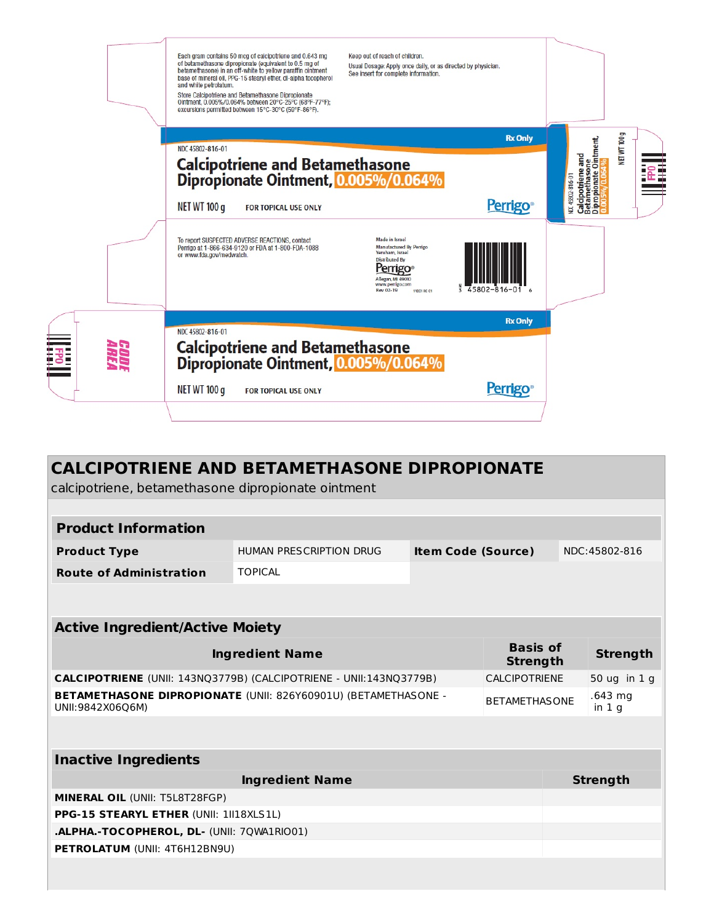|                     | Each gram contains 50 mcg of calcipotriene and 0.643 mg<br>of betamethasone dipropionate (equivalent to 0.5 mg of<br>betamethasone) in an off-white to yellow paraffin ointment<br>base of mineral oil, PPG-15 stearyl ether, dl-alpha tocopherol<br>and white petrolatum.<br>Store Calcipotriene and Betamethasone Dipropionate<br>Ointment, 0.005%/0.064% between 20°C-25°C (68°F-77°F);<br>excursions permitted between 15°C-30°C (59°F-86°F). | Keep out of reach of children.<br>Usual Dosage: Apply once daily, or as directed by physician.<br>See insert for complete information.                                                                                |                                                                                                        |
|---------------------|---------------------------------------------------------------------------------------------------------------------------------------------------------------------------------------------------------------------------------------------------------------------------------------------------------------------------------------------------------------------------------------------------------------------------------------------------|-----------------------------------------------------------------------------------------------------------------------------------------------------------------------------------------------------------------------|--------------------------------------------------------------------------------------------------------|
|                     |                                                                                                                                                                                                                                                                                                                                                                                                                                                   | <b>Rx Only</b>                                                                                                                                                                                                        |                                                                                                        |
|                     | NDC 45802-816-01<br>Calcipotriene and Betamethasone<br>Dipropionate Ointment, 0.005%/0.064%<br><b>NET WT 100 g</b><br>FOR TOPICAL USE ONLY<br>To report SUSPECTED ADVERSE REACTIONS, contact<br>Perrigo at 1-866-634-9120 or FDA at 1-800-FDA-1088<br>or www.fda.gov/medwatch.                                                                                                                                                                    | <b>Perrigo</b> <sup>®</sup><br>Made in Israel<br>Manufactured By Perrigo<br>Yeruham, Israel<br><b>Distributed By</b><br>Perrigo<br>Allegan, MI 49010<br>www.perrigo.com<br>45802-816-01 6<br>Rev 02-19<br>1V2C1 RC C1 | <b>NET WT 100g</b><br>Calcipotriene and<br>Betamethasone<br>Dipropionate Ointment,<br>NDC 45802-816-01 |
|                     |                                                                                                                                                                                                                                                                                                                                                                                                                                                   | <b>Rx Only</b>                                                                                                                                                                                                        |                                                                                                        |
| <i>Godi</i><br>Area | NDC 45802-816-01<br>Calcipotriene and Betamethasone<br>Dipropionate Ointment, 0.005%/0.064%<br><b>NET WT 100 g</b><br>FOR TOPICAL USE ONLY                                                                                                                                                                                                                                                                                                        | <b>Perrigo</b> <sup>®</sup>                                                                                                                                                                                           |                                                                                                        |
|                     |                                                                                                                                                                                                                                                                                                                                                                                                                                                   |                                                                                                                                                                                                                       |                                                                                                        |

| <b>CALCIPOTRIENE AND BETAMETHASONE DIPROPIONATE</b><br>calcipotriene, betamethasone dipropionate ointment |                                |                           |                      |  |                                         |  |  |
|-----------------------------------------------------------------------------------------------------------|--------------------------------|---------------------------|----------------------|--|-----------------------------------------|--|--|
|                                                                                                           |                                |                           |                      |  |                                         |  |  |
| <b>Product Information</b>                                                                                |                                |                           |                      |  |                                         |  |  |
| <b>Product Type</b>                                                                                       | <b>HUMAN PRESCRIPTION DRUG</b> | <b>Item Code (Source)</b> |                      |  | NDC:45802-816                           |  |  |
| <b>Route of Administration</b>                                                                            | <b>TOPICAL</b>                 |                           |                      |  |                                         |  |  |
|                                                                                                           |                                |                           |                      |  |                                         |  |  |
| <b>Active Ingredient/Active Moiety</b>                                                                    |                                |                           |                      |  |                                         |  |  |
|                                                                                                           |                                |                           |                      |  |                                         |  |  |
| <b>Basis of</b><br><b>Ingredient Name</b>                                                                 |                                |                           | <b>Strength</b>      |  | <b>Strength</b>                         |  |  |
| CALCIPOTRIENE (UNII: 143NQ3779B) (CALCIPOTRIENE - UNII:143NQ3779B)                                        |                                |                           | CALCIPOTRIENE        |  | 50 ug in 1 g                            |  |  |
| BETAMETHASONE DIPROPIONATE (UNII: 826Y60901U) (BETAMETHASONE -<br>UNII:9842X06Q6M)                        |                                |                           | <b>BETAMETHASONE</b> |  | .643 <sub>mg</sub><br>in 1 <sub>q</sub> |  |  |
| <b>Inactive Ingredients</b>                                                                               |                                |                           |                      |  |                                         |  |  |
|                                                                                                           | <b>Ingredient Name</b>         |                           |                      |  | <b>Strength</b>                         |  |  |
| MINERAL OIL (UNII: T5L8T28FGP)                                                                            |                                |                           |                      |  |                                         |  |  |
| PPG-15 STEARYL ETHER (UNII: 1II18XLS1L)                                                                   |                                |                           |                      |  |                                         |  |  |
| .ALPHA.-TOCOPHEROL, DL- (UNII: 7QWA1RIO01)                                                                |                                |                           |                      |  |                                         |  |  |
| <b>PETROLATUM (UNII: 4T6H12BN9U)</b>                                                                      |                                |                           |                      |  |                                         |  |  |
|                                                                                                           |                                |                           |                      |  |                                         |  |  |
|                                                                                                           |                                |                           |                      |  |                                         |  |  |